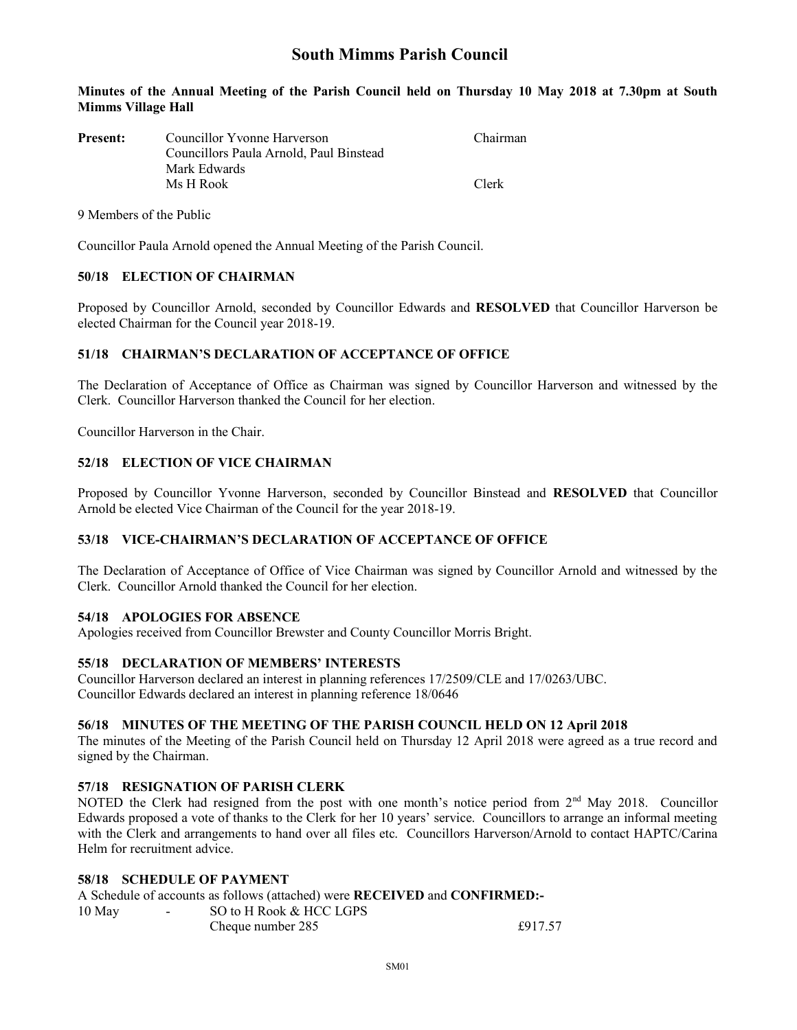# South Mimms Parish Council

#### Minutes of the Annual Meeting of the Parish Council held on Thursday 10 May 2018 at 7.30pm at South Mimms Village Hall

| <b>Present:</b> | Councillor Yvonne Harverson             | Chairman |  |  |
|-----------------|-----------------------------------------|----------|--|--|
|                 | Councillors Paula Arnold, Paul Binstead |          |  |  |
|                 | Mark Edwards                            |          |  |  |
|                 | Ms H Rook                               | Clerk    |  |  |

9 Members of the Public

Councillor Paula Arnold opened the Annual Meeting of the Parish Council.

### 50/18 ELECTION OF CHAIRMAN

Proposed by Councillor Arnold, seconded by Councillor Edwards and RESOLVED that Councillor Harverson be elected Chairman for the Council year 2018-19.

### 51/18 CHAIRMAN'S DECLARATION OF ACCEPTANCE OF OFFICE

The Declaration of Acceptance of Office as Chairman was signed by Councillor Harverson and witnessed by the Clerk. Councillor Harverson thanked the Council for her election.

Councillor Harverson in the Chair.

### 52/18 ELECTION OF VICE CHAIRMAN

Proposed by Councillor Yvonne Harverson, seconded by Councillor Binstead and RESOLVED that Councillor Arnold be elected Vice Chairman of the Council for the year 2018-19.

# 53/18 VICE-CHAIRMAN'S DECLARATION OF ACCEPTANCE OF OFFICE

The Declaration of Acceptance of Office of Vice Chairman was signed by Councillor Arnold and witnessed by the Clerk. Councillor Arnold thanked the Council for her election.

# 54/18 APOLOGIES FOR ABSENCE

Apologies received from Councillor Brewster and County Councillor Morris Bright.

#### 55/18 DECLARATION OF MEMBERS' INTERESTS

Councillor Harverson declared an interest in planning references 17/2509/CLE and 17/0263/UBC. Councillor Edwards declared an interest in planning reference 18/0646

#### 56/18 MINUTES OF THE MEETING OF THE PARISH COUNCIL HELD ON 12 April 2018

The minutes of the Meeting of the Parish Council held on Thursday 12 April 2018 were agreed as a true record and signed by the Chairman.

### 57/18 RESIGNATION OF PARISH CLERK

NOTED the Clerk had resigned from the post with one month's notice period from 2<sup>nd</sup> May 2018. Councillor Edwards proposed a vote of thanks to the Clerk for her 10 years' service. Councillors to arrange an informal meeting with the Clerk and arrangements to hand over all files etc. Councillors Harverson/Arnold to contact HAPTC/Carina Helm for recruitment advice.

# 58/18 SCHEDULE OF PAYMENT

A Schedule of accounts as follows (attached) were RECEIVED and CONFIRMED:-

| 10 May | SO to H Rook & HCC LGPS |         |
|--------|-------------------------|---------|
|        | Cheque number 285       | £917.57 |